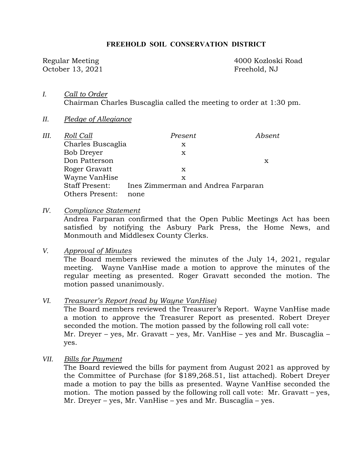#### **FREEHOLD SOIL CONSERVATION DISTRICT**

October 13, 2021 Freehold, NJ

Regular Meeting 4000 Kozloski Road

- *I. Call to Order*  Chairman Charles Buscaglia called the meeting to order at 1:30 pm.
- *II. Pledge of Allegiance*

| III. | Roll Call              | Present                            | Absent |
|------|------------------------|------------------------------------|--------|
|      | Charles Buscaglia      | X                                  |        |
|      | Bob Dreyer             | х                                  |        |
|      | Don Patterson          |                                    | х      |
|      | Roger Gravatt          | x                                  |        |
|      | Wayne VanHise          | х                                  |        |
|      | <b>Staff Present:</b>  | Ines Zimmerman and Andrea Farparan |        |
|      | <b>Others Present:</b> | none                               |        |

*IV. Compliance Statement* 

Andrea Farparan confirmed that the Open Public Meetings Act has been satisfied by notifying the Asbury Park Press, the Home News, and Monmouth and Middlesex County Clerks.

*V. Approval of Minutes* 

The Board members reviewed the minutes of the July 14, 2021, regular meeting. Wayne VanHise made a motion to approve the minutes of the regular meeting as presented. Roger Gravatt seconded the motion. The motion passed unanimously.

*VI. Treasurer's Report (read by Wayne VanHise)* 

The Board members reviewed the Treasurer's Report. Wayne VanHise made a motion to approve the Treasurer Report as presented. Robert Dreyer seconded the motion. The motion passed by the following roll call vote: Mr. Dreyer – yes, Mr. Gravatt – yes, Mr. VanHise – yes and Mr. Buscaglia – yes.

*VII. Bills for Payment* 

The Board reviewed the bills for payment from August 2021 as approved by the Committee of Purchase (for \$189,268.51, list attached). Robert Dreyer made a motion to pay the bills as presented. Wayne VanHise seconded the motion. The motion passed by the following roll call vote: Mr. Gravatt – yes, Mr. Dreyer – yes, Mr. VanHise – yes and Mr. Buscaglia – yes.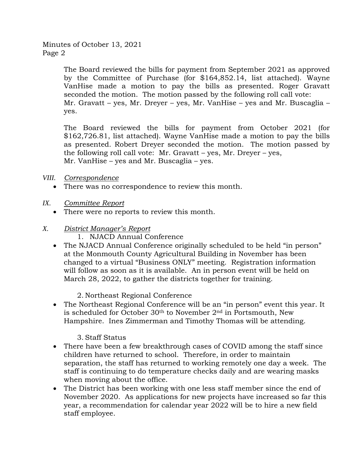The Board reviewed the bills for payment from September 2021 as approved by the Committee of Purchase (for \$164,852.14, list attached). Wayne VanHise made a motion to pay the bills as presented. Roger Gravatt seconded the motion. The motion passed by the following roll call vote: Mr. Gravatt – yes, Mr. Dreyer – yes, Mr. VanHise – yes and Mr. Buscaglia – yes.

The Board reviewed the bills for payment from October 2021 (for \$162,726.81, list attached). Wayne VanHise made a motion to pay the bills as presented. Robert Dreyer seconded the motion. The motion passed by the following roll call vote: Mr. Gravatt – yes, Mr. Dreyer – yes, Mr. VanHise – yes and Mr. Buscaglia – yes.

#### *VIII. Correspondence*

- There was no correspondence to review this month.
- *IX. Committee Report* 
	- There were no reports to review this month.
- *X. District Manager's Report* 
	- 1. NJACD Annual Conference
	- The NJACD Annual Conference originally scheduled to be held "in person" at the Monmouth County Agricultural Building in November has been changed to a virtual "Business ONLY" meeting. Registration information will follow as soon as it is available. An in person event will be held on March 28, 2022, to gather the districts together for training.

2. Northeast Regional Conference

 The Northeast Regional Conference will be an "in person" event this year. It is scheduled for October 30<sup>th</sup> to November 2<sup>nd</sup> in Portsmouth, New Hampshire. Ines Zimmerman and Timothy Thomas will be attending.

# 3. Staff Status

- There have been a few breakthrough cases of COVID among the staff since children have returned to school. Therefore, in order to maintain separation, the staff has returned to working remotely one day a week. The staff is continuing to do temperature checks daily and are wearing masks when moving about the office.
- The District has been working with one less staff member since the end of November 2020. As applications for new projects have increased so far this year, a recommendation for calendar year 2022 will be to hire a new field staff employee.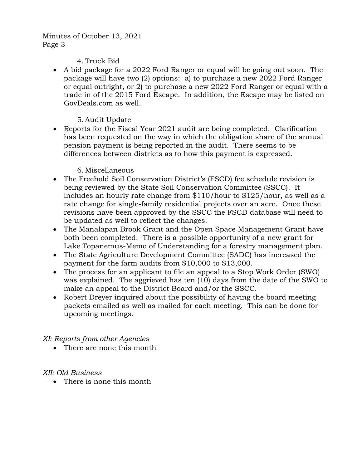Minutes of October 13, 2021 Page 3

#### 4. Truck Bid

 A bid package for a 2022 Ford Ranger or equal will be going out soon. The package will have two (2) options: a) to purchase a new 2022 Ford Ranger or equal outright, or 2) to purchase a new 2022 Ford Ranger or equal with a trade in of the 2015 Ford Escape. In addition, the Escape may be listed on GovDeals.com as well.

# 5. Audit Update

• Reports for the Fiscal Year 2021 audit are being completed. Clarification has been requested on the way in which the obligation share of the annual pension payment is being reported in the audit. There seems to be differences between districts as to how this payment is expressed.

# 6. Miscellaneous

- The Freehold Soil Conservation District's (FSCD) fee schedule revision is being reviewed by the State Soil Conservation Committee (SSCC). It includes an hourly rate change from \$110/hour to \$125/hour, as well as a rate change for single-family residential projects over an acre. Once these revisions have been approved by the SSCC the FSCD database will need to be updated as well to reflect the changes.
- The Manalapan Brook Grant and the Open Space Management Grant have both been completed. There is a possible opportunity of a new grant for Lake Topanemus-Memo of Understanding for a forestry management plan.
- The State Agriculture Development Committee (SADC) has increased the payment for the farm audits from \$10,000 to \$13,000.
- The process for an applicant to file an appeal to a Stop Work Order (SWO) was explained. The aggrieved has ten (10) days from the date of the SWO to make an appeal to the District Board and/or the SSCC.
- Robert Dreyer inquired about the possibility of having the board meeting packets emailed as well as mailed for each meeting. This can be done for upcoming meetings.

# *XI: Reports from other Agencies*

• There are none this month

# *XII: Old Business*

• There is none this month